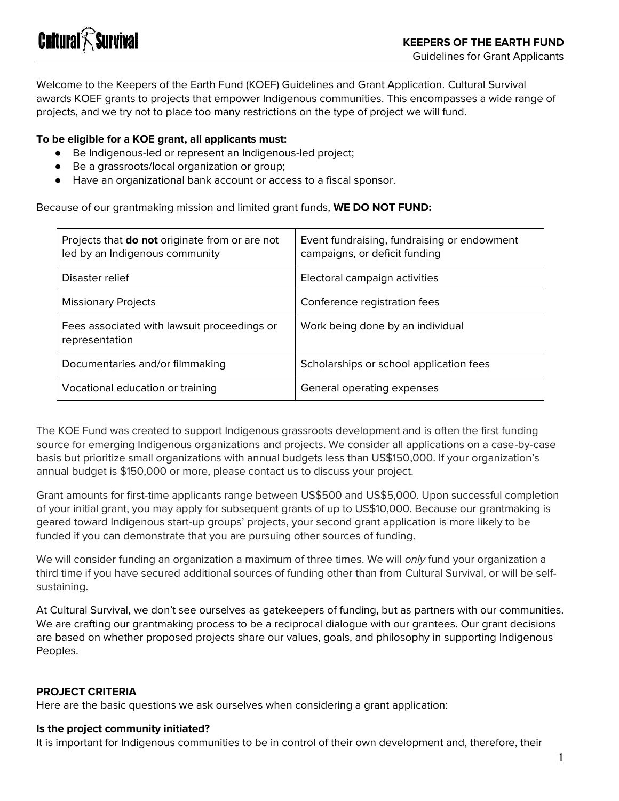Welcome to the Keepers of the Earth Fund (KOEF) Guidelines and Grant Application. Cultural Survival awards KOEF grants to projects that empower Indigenous communities. This encompasses a wide range of projects, and we try not to place too many restrictions on the type of project we will fund.

#### **To be eligible for a KOE grant, all applicants must:**

- Be Indigenous-led or represent an Indigenous-led project;
- Be a grassroots/local organization or group;
- Have an organizational bank account or access to a fiscal sponsor.

Because of our grantmaking mission and limited grant funds, **WE DO NOT FUND:**

| Projects that <b>do not</b> originate from or are not<br>led by an Indigenous community | Event fundraising, fundraising or endowment<br>campaigns, or deficit funding |
|-----------------------------------------------------------------------------------------|------------------------------------------------------------------------------|
| Disaster relief                                                                         | Electoral campaign activities                                                |
| <b>Missionary Projects</b>                                                              | Conference registration fees                                                 |
| Fees associated with lawsuit proceedings or<br>representation                           | Work being done by an individual                                             |
| Documentaries and/or filmmaking                                                         | Scholarships or school application fees                                      |
| Vocational education or training                                                        | General operating expenses                                                   |

The KOE Fund was created to support Indigenous grassroots development and is often the first funding source for emerging Indigenous organizations and projects. We consider all applications on a case-by-case basis but prioritize small organizations with annual budgets less than US\$150,000. If your organization's annual budget is \$150,000 or more, please contact us to discuss your project.

Grant amounts for first-time applicants range between US\$500 and US\$5,000. Upon successful completion of your initial grant, you may apply for subsequent grants of up to US\$10,000. Because our grantmaking is geared toward Indigenous start-up groups' projects, your second grant application is more likely to be funded if you can demonstrate that you are pursuing other sources of funding.

We will consider funding an organization a maximum of three times. We will *only* fund your organization a third time if you have secured additional sources of funding other than from Cultural Survival, or will be selfsustaining.

At Cultural Survival, we don't see ourselves as gatekeepers of funding, but as partners with our communities. We are crafting our grantmaking process to be a reciprocal dialogue with our grantees. Our grant decisions are based on whether proposed projects share our values, goals, and philosophy in supporting Indigenous Peoples.

#### **PROJECT CRITERIA**

Here are the basic questions we ask ourselves when considering a grant application:

#### **Is the project community initiated?**

It is important for Indigenous communities to be in control of their own development and, therefore, their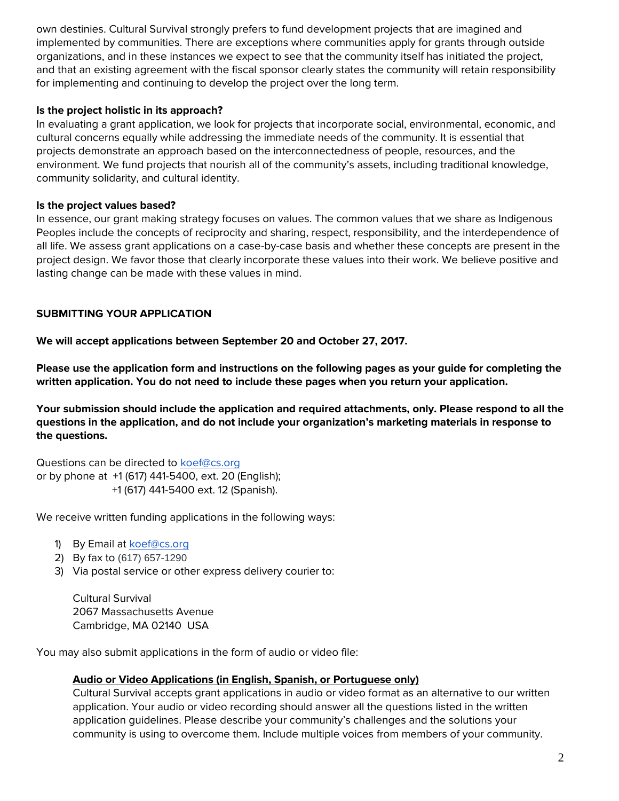own destinies. Cultural Survival strongly prefers to fund development projects that are imagined and implemented by communities. There are exceptions where communities apply for grants through outside organizations, and in these instances we expect to see that the community itself has initiated the project, and that an existing agreement with the fiscal sponsor clearly states the community will retain responsibility for implementing and continuing to develop the project over the long term.

#### **Is the project holistic in its approach?**

In evaluating a grant application, we look for projects that incorporate social, environmental, economic, and cultural concerns equally while addressing the immediate needs of the community. It is essential that projects demonstrate an approach based on the interconnectedness of people, resources, and the environment. We fund projects that nourish all of the community's assets, including traditional knowledge, community solidarity, and cultural identity.

#### **Is the project values based?**

In essence, our grant making strategy focuses on values. The common values that we share as Indigenous Peoples include the concepts of reciprocity and sharing, respect, responsibility, and the interdependence of all life. We assess grant applications on a case-by-case basis and whether these concepts are present in the project design. We favor those that clearly incorporate these values into their work. We believe positive and lasting change can be made with these values in mind.

#### **SUBMITTING YOUR APPLICATION**

**We will accept applications between September 20 and October 27, 2017.**

**Please use the application form and instructions on the following pages as your guide for completing the written application. You do not need to include these pages when you return your application.**

**Your submission should include the application and required attachments, only. Please respond to all the questions in the application, and do not include your organization's marketing materials in response to the questions.**

Questions can be directed to [koef@cs.org](mailto:koef@cs.org) or by phone at +1 (617) 441-5400, ext. 20 (English); +1 (617) 441-5400 ext. 12 (Spanish).

We receive written funding applications in the following ways:

- 1) By Email at [koef@cs.org](mailto:koef@cs.org)
- 2) By fax to (617) 657-1290
- 3) Via postal service or other express delivery courier to:

Cultural Survival 2067 Massachusetts Avenue Cambridge, MA 02140 USA

You may also submit applications in the form of audio or video file:

#### **Audio or Video Applications (in English, Spanish, or Portuguese only)**

Cultural Survival accepts grant applications in audio or video format as an alternative to our written application. Your audio or video recording should answer all the questions listed in the written application guidelines. Please describe your community's challenges and the solutions your community is using to overcome them. Include multiple voices from members of your community.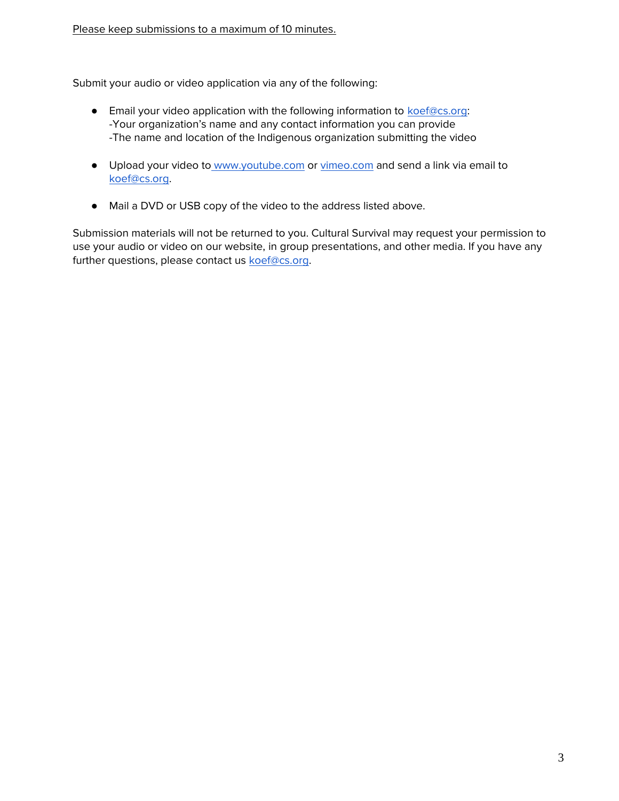Submit your audio or video application via any of the following:

- **•** Email your video application with the following information to [koef@cs.org:](mailto:koef@cs.org) -Your organization's name and any contact information you can provide -The name and location of the Indigenous organization submitting the video
- Upload your video to [www.youtube.com](http://www.youtube.com/) or [vimeo.com](http://www.vimeo.com/) and send a link via email to [koef@cs.org.](mailto:koef@cs.org)
- Mail a DVD or USB copy of the video to the address listed above.

Submission materials will not be returned to you. Cultural Survival may request your permission to use your audio or video on our website, in group presentations, and other media. If you have any further questions, please contact us [koef@cs.org.](mailto:koef@cs.org)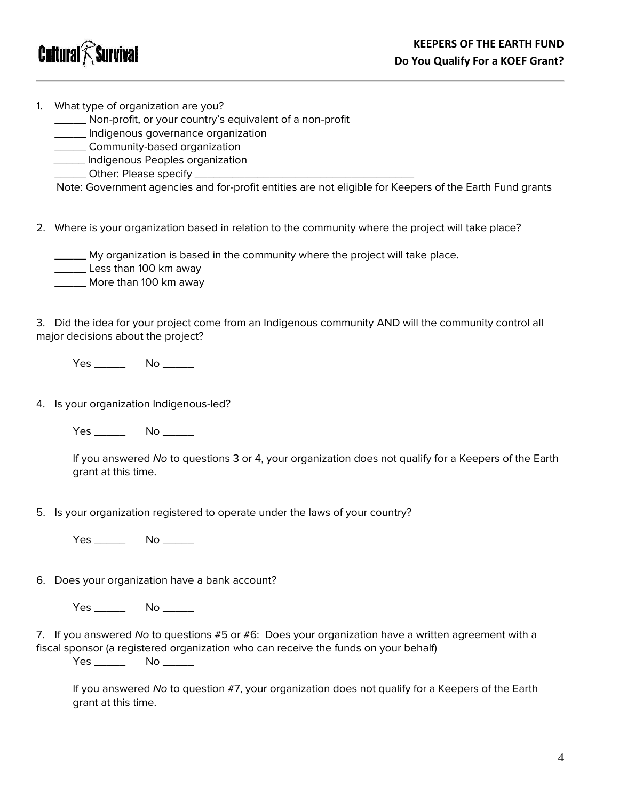

1. What type of organization are you?

\_\_\_\_\_ Non-profit, or your country's equivalent of a non-profit

\_\_\_\_\_ Indigenous governance organization

**\_\_\_\_\_\_\_** Community-based organization

\_\_\_\_\_ Indigenous Peoples organization

\_\_\_\_\_ Other: Please specify \_\_\_\_\_\_\_\_\_\_\_\_\_\_\_\_\_\_\_\_\_\_\_\_\_\_\_\_\_\_\_\_\_\_\_

Note: Government agencies and for-profit entities are not eligible for Keepers of the Earth Fund grants

2. Where is your organization based in relation to the community where the project will take place?

\_\_\_\_\_ My organization is based in the community where the project will take place.

Less than 100 km away

\_\_\_\_\_ More than 100 km away

3. Did the idea for your project come from an Indigenous community AND will the community control all major decisions about the project?

Yes \_\_\_\_\_\_\_\_ No \_\_\_\_\_\_

4. Is your organization Indigenous-led?

Yes No No  $\sim$ 

If you answered *No* to questions 3 or 4, your organization does not qualify for a Keepers of the Earth grant at this time.

5. Is your organization registered to operate under the laws of your country?

Yes \_\_\_\_\_\_\_\_ No \_\_\_\_\_\_

6. Does your organization have a bank account?

Yes \_\_\_\_\_\_\_\_ No \_\_\_\_\_\_

7. If you answered *No* to questions #5 or #6: Does your organization have a written agreement with a fiscal sponsor (a registered organization who can receive the funds on your behalf)

Yes \_\_\_\_\_ No \_\_\_\_\_

If you answered *No* to question #7, your organization does not qualify for a Keepers of the Earth grant at this time.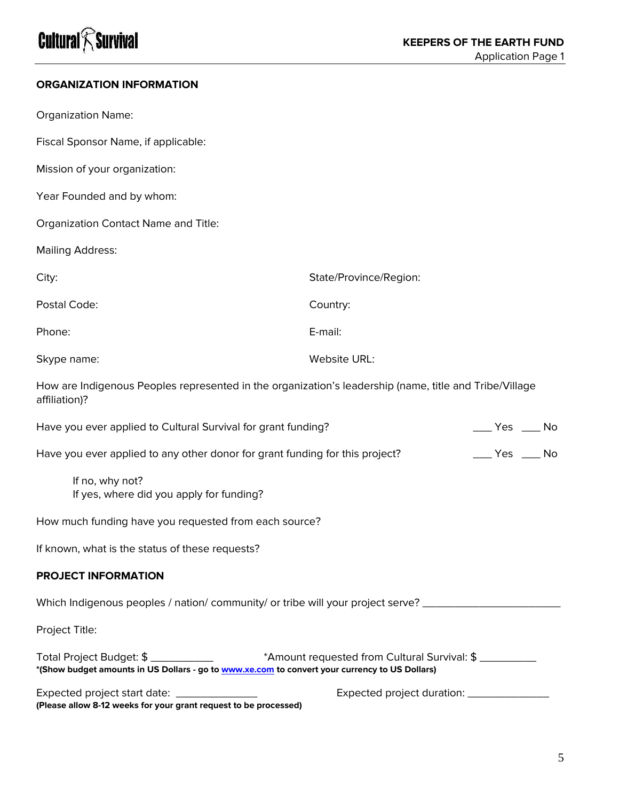# **Cultural** $\widehat{\boldsymbol{\mathcal{K}}}$ Survival

### **ORGANIZATION INFORMATION**

| <b>Organization Name:</b>                                                                                               |                                                  |
|-------------------------------------------------------------------------------------------------------------------------|--------------------------------------------------|
| Fiscal Sponsor Name, if applicable:                                                                                     |                                                  |
| Mission of your organization:                                                                                           |                                                  |
| Year Founded and by whom:                                                                                               |                                                  |
| Organization Contact Name and Title:                                                                                    |                                                  |
| <b>Mailing Address:</b>                                                                                                 |                                                  |
| City:                                                                                                                   | State/Province/Region:                           |
| Postal Code:                                                                                                            | Country:                                         |
| Phone:                                                                                                                  | E-mail:                                          |
| Skype name:                                                                                                             | Website URL:                                     |
| How are Indigenous Peoples represented in the organization's leadership (name, title and Tribe/Village<br>affiliation)? |                                                  |
| Have you ever applied to Cultural Survival for grant funding?                                                           | $\rule{1em}{0.15mm}$ Yes $\rule{1em}{0.15mm}$ No |
| Have you ever applied to any other donor for grant funding for this project?                                            | $\rule{1em}{0.15mm}$ Yes $\rule{1em}{0.15mm}$ No |
| If no, why not?<br>If yes, where did you apply for funding?                                                             |                                                  |
| How much funding have you requested from each source?                                                                   |                                                  |
| If known, what is the status of these requests?                                                                         |                                                  |
| <b>PROJECT INFORMATION</b>                                                                                              |                                                  |
| Which Indigenous peoples / nation/ community/ or tribe will your project serve? ____________                            |                                                  |
| Project Title:                                                                                                          |                                                  |

| Total Project Budget: \$                                                                       | *Amount requested from Cultural Survival: \$ |  |
|------------------------------------------------------------------------------------------------|----------------------------------------------|--|
| *(Show budget amounts in US Dollars - go to www.xe.com to convert your currency to US Dollars) |                                              |  |

| Expected project start date:                                     | Expected project duration: |
|------------------------------------------------------------------|----------------------------|
| (Please allow 8-12 weeks for your grant request to be processed) |                            |